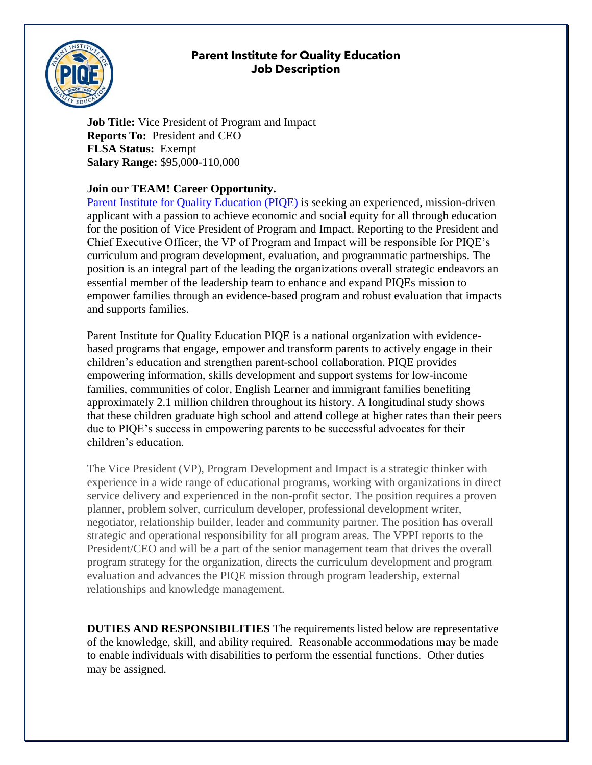## **Parent Institute for Quality Education Job Description**



**Job Title:** Vice President of Program and Impact **Reports To:** President and CEO **FLSA Status:** Exempt **Salary Range:** \$95,000-110,000

## **Join our TEAM! Career Opportunity.**

[Parent Institute for Quality Education](http://www.piqe.org/) (PIQE) is seeking an experienced, mission-driven applicant with a passion to achieve economic and social equity for all through education for the position of Vice President of Program and Impact. Reporting to the President and Chief Executive Officer, the VP of Program and Impact will be responsible for PIQE's curriculum and program development, evaluation, and programmatic partnerships. The position is an integral part of the leading the organizations overall strategic endeavors an essential member of the leadership team to enhance and expand PIQEs mission to empower families through an evidence-based program and robust evaluation that impacts and supports families.

Parent Institute for Quality Education PIQE is a national organization with evidencebased programs that engage, empower and transform parents to actively engage in their children's education and strengthen parent-school collaboration. PIQE provides empowering information, skills development and support systems for low-income families, communities of color, English Learner and immigrant families benefiting approximately 2.1 million children throughout its history. A longitudinal study shows that these children graduate high school and attend college at higher rates than their peers due to PIQE's success in empowering parents to be successful advocates for their children's education.

The Vice President (VP), Program Development and Impact is a strategic thinker with experience in a wide range of educational programs, working with organizations in direct service delivery and experienced in the non-profit sector. The position requires a proven planner, problem solver, curriculum developer, professional development writer, negotiator, relationship builder, leader and community partner. The position has overall strategic and operational responsibility for all program areas. The VPPI reports to the President/CEO and will be a part of the senior management team that drives the overall program strategy for the organization, directs the curriculum development and program evaluation and advances the PIQE mission through program leadership, external relationships and knowledge management.

**DUTIES AND RESPONSIBILITIES** The requirements listed below are representative of the knowledge, skill, and ability required. Reasonable accommodations may be made to enable individuals with disabilities to perform the essential functions. Other duties may be assigned.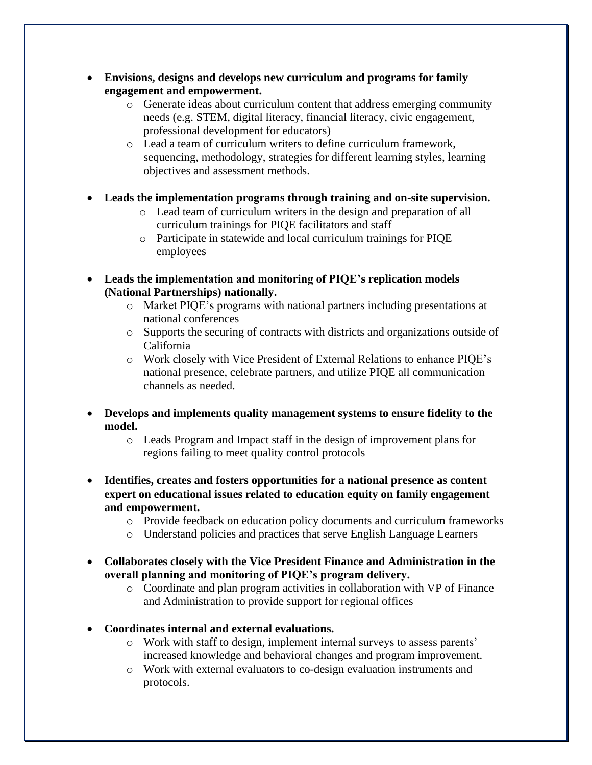- **Envisions, designs and develops new curriculum and programs for family engagement and empowerment.** 
	- o Generate ideas about curriculum content that address emerging community needs (e.g. STEM, digital literacy, financial literacy, civic engagement, professional development for educators)
	- o Lead a team of curriculum writers to define curriculum framework, sequencing, methodology, strategies for different learning styles, learning objectives and assessment methods.
- **Leads the implementation programs through training and on-site supervision.** 
	- o Lead team of curriculum writers in the design and preparation of all curriculum trainings for PIQE facilitators and staff
	- o Participate in statewide and local curriculum trainings for PIQE employees
- **Leads the implementation and monitoring of PIQE's replication models (National Partnerships) nationally.**
	- o Market PIQE's programs with national partners including presentations at national conferences
	- o Supports the securing of contracts with districts and organizations outside of California
	- o Work closely with Vice President of External Relations to enhance PIQE's national presence, celebrate partners, and utilize PIQE all communication channels as needed.
- **Develops and implements quality management systems to ensure fidelity to the model.** 
	- o Leads Program and Impact staff in the design of improvement plans for regions failing to meet quality control protocols
- **Identifies, creates and fosters opportunities for a national presence as content expert on educational issues related to education equity on family engagement and empowerment.**
	- o Provide feedback on education policy documents and curriculum frameworks
	- o Understand policies and practices that serve English Language Learners
- **Collaborates closely with the Vice President Finance and Administration in the overall planning and monitoring of PIQE's program delivery.**
	- o Coordinate and plan program activities in collaboration with VP of Finance and Administration to provide support for regional offices
- **Coordinates internal and external evaluations.**
	- o Work with staff to design, implement internal surveys to assess parents' increased knowledge and behavioral changes and program improvement.
	- o Work with external evaluators to co-design evaluation instruments and protocols.